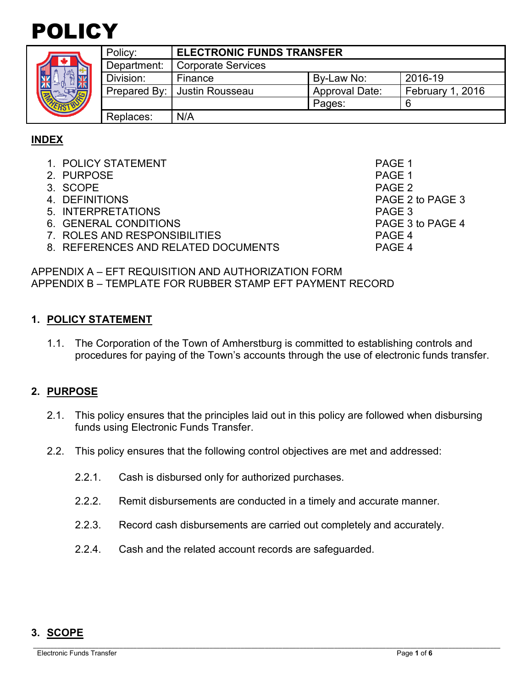

| ٥<br>ER |  |
|---------|--|

| Policy:      | <b>ELECTRONIC FUNDS TRANSFER</b> |                       |                  |
|--------------|----------------------------------|-----------------------|------------------|
| Department:  | <b>Corporate Services</b>        |                       |                  |
| Division:    | Finance                          | By-Law No:            | 2016-19          |
| Prepared By: | Justin Rousseau                  | <b>Approval Date:</b> | February 1, 2016 |
|              |                                  | Pages:                |                  |
| Replaces:    | N/A                              |                       |                  |

#### **INDEX**

- 1. POLICY STATEMENT PAGE 1
- 2. PURPOSE And the set of the set of the set of the set of the set of the set of the set of the set of the set of the set of the set of the set of the set of the set of the set of the set of the set of the set of the set o
- 3. SCOPE PAGE 2
- 
- 5. INTERPRETATIONS PAGE 3
- 6. GENERAL CONDITIONS PAGE 3 to PAGE 4
- 7. ROLES AND RESPONSIBILITIES PAGE 4
- 8. REFERENCES AND RELATED DOCUMENTS PAGE 4

4. DEFINITIONS PAGE 2 to PAGE 3

APPENDIX A – EFT REQUISITION AND AUTHORIZATION FORM APPENDIX B – TEMPLATE FOR RUBBER STAMP EFT PAYMENT RECORD

#### **1. POLICY STATEMENT**

1.1. The Corporation of the Town of Amherstburg is committed to establishing controls and procedures for paying of the Town's accounts through the use of electronic funds transfer.

#### **2. PURPOSE**

- 2.1. This policy ensures that the principles laid out in this policy are followed when disbursing funds using Electronic Funds Transfer.
- 2.2. This policy ensures that the following control objectives are met and addressed:
	- 2.2.1. Cash is disbursed only for authorized purchases.
	- 2.2.2. Remit disbursements are conducted in a timely and accurate manner.
	- 2.2.3. Record cash disbursements are carried out completely and accurately.
	- 2.2.4. Cash and the related account records are safeguarded.

#### **3. SCOPE**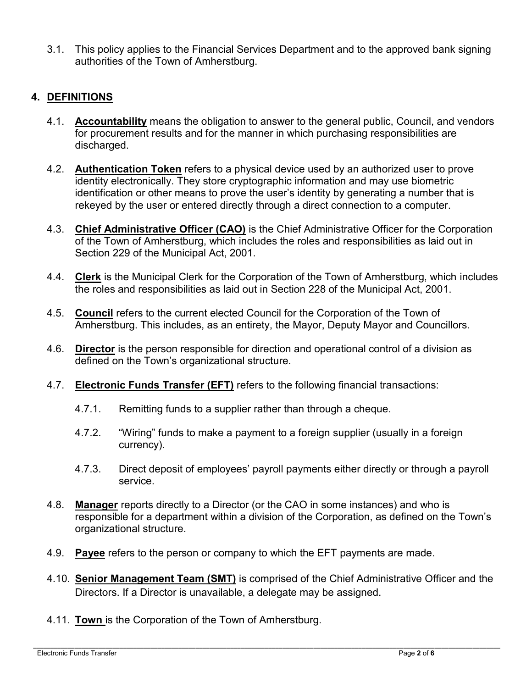3.1. This policy applies to the Financial Services Department and to the approved bank signing authorities of the Town of Amherstburg.

#### **4. DEFINITIONS**

- 4.1. **Accountability** means the obligation to answer to the general public, Council, and vendors for procurement results and for the manner in which purchasing responsibilities are discharged.
- 4.2. **Authentication Token** refers to a physical device used by an authorized user to prove identity electronically. They store cryptographic information and may use biometric identification or other means to prove the user's identity by generating a number that is rekeyed by the user or entered directly through a direct connection to a computer.
- 4.3. **Chief Administrative Officer (CAO)** is the Chief Administrative Officer for the Corporation of the Town of Amherstburg, which includes the roles and responsibilities as laid out in Section 229 of the Municipal Act, 2001.
- 4.4. **Clerk** is the Municipal Clerk for the Corporation of the Town of Amherstburg, which includes the roles and responsibilities as laid out in Section 228 of the Municipal Act, 2001.
- 4.5. **Council** refers to the current elected Council for the Corporation of the Town of Amherstburg. This includes, as an entirety, the Mayor, Deputy Mayor and Councillors.
- 4.6. **Director** is the person responsible for direction and operational control of a division as defined on the Town's organizational structure.
- 4.7. **Electronic Funds Transfer (EFT)** refers to the following financial transactions:
	- 4.7.1. Remitting funds to a supplier rather than through a cheque.
	- 4.7.2. "Wiring" funds to make a payment to a foreign supplier (usually in a foreign currency).
	- 4.7.3. Direct deposit of employees' payroll payments either directly or through a payroll service.
- 4.8. **Manager** reports directly to a Director (or the CAO in some instances) and who is responsible for a department within a division of the Corporation, as defined on the Town's organizational structure.
- 4.9. **Payee** refers to the person or company to which the EFT payments are made.
- 4.10. **Senior Management Team (SMT)** is comprised of the Chief Administrative Officer and the Directors. If a Director is unavailable, a delegate may be assigned.
- 4.11. **Town** is the Corporation of the Town of Amherstburg.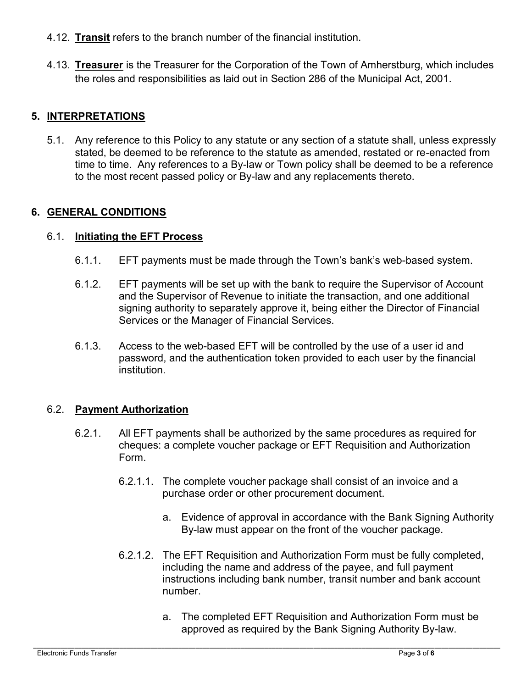- 4.12. **Transit** refers to the branch number of the financial institution.
- 4.13. **Treasurer** is the Treasurer for the Corporation of the Town of Amherstburg, which includes the roles and responsibilities as laid out in Section 286 of the Municipal Act, 2001.

#### **5. INTERPRETATIONS**

5.1. Any reference to this Policy to any statute or any section of a statute shall, unless expressly stated, be deemed to be reference to the statute as amended, restated or re-enacted from time to time. Any references to a By-law or Town policy shall be deemed to be a reference to the most recent passed policy or By-law and any replacements thereto.

#### **6. GENERAL CONDITIONS**

#### 6.1. **Initiating the EFT Process**

- 6.1.1. EFT payments must be made through the Town's bank's web-based system.
- 6.1.2. EFT payments will be set up with the bank to require the Supervisor of Account and the Supervisor of Revenue to initiate the transaction, and one additional signing authority to separately approve it, being either the Director of Financial Services or the Manager of Financial Services.
- 6.1.3. Access to the web-based EFT will be controlled by the use of a user id and password, and the authentication token provided to each user by the financial institution.

#### 6.2. **Payment Authorization**

- 6.2.1. All EFT payments shall be authorized by the same procedures as required for cheques: a complete voucher package or EFT Requisition and Authorization Form.
	- 6.2.1.1. The complete voucher package shall consist of an invoice and a purchase order or other procurement document.
		- a. Evidence of approval in accordance with the Bank Signing Authority By-law must appear on the front of the voucher package.
	- 6.2.1.2. The EFT Requisition and Authorization Form must be fully completed, including the name and address of the payee, and full payment instructions including bank number, transit number and bank account number.
		- a. The completed EFT Requisition and Authorization Form must be approved as required by the Bank Signing Authority By-law.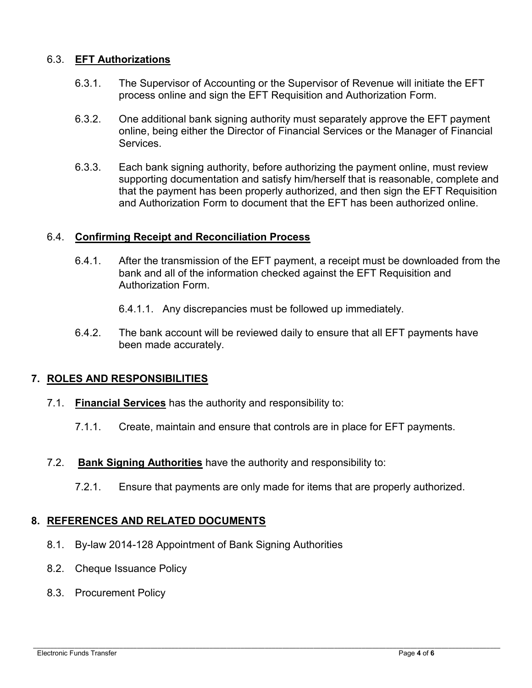#### 6.3. **EFT Authorizations**

- 6.3.1. The Supervisor of Accounting or the Supervisor of Revenue will initiate the EFT process online and sign the EFT Requisition and Authorization Form.
- 6.3.2. One additional bank signing authority must separately approve the EFT payment online, being either the Director of Financial Services or the Manager of Financial **Services**
- 6.3.3. Each bank signing authority, before authorizing the payment online, must review supporting documentation and satisfy him/herself that is reasonable, complete and that the payment has been properly authorized, and then sign the EFT Requisition and Authorization Form to document that the EFT has been authorized online.

#### 6.4. **Confirming Receipt and Reconciliation Process**

- 6.4.1. After the transmission of the EFT payment, a receipt must be downloaded from the bank and all of the information checked against the EFT Requisition and Authorization Form.
	- 6.4.1.1. Any discrepancies must be followed up immediately.
- 6.4.2. The bank account will be reviewed daily to ensure that all EFT payments have been made accurately.

#### **7. ROLES AND RESPONSIBILITIES**

- 7.1. **Financial Services** has the authority and responsibility to:
	- 7.1.1. Create, maintain and ensure that controls are in place for EFT payments.
- 7.2. **Bank Signing Authorities** have the authority and responsibility to:
	- 7.2.1. Ensure that payments are only made for items that are properly authorized.

#### **8. REFERENCES AND RELATED DOCUMENTS**

- 8.1. By-law 2014-128 Appointment of Bank Signing Authorities
- 8.2. Cheque Issuance Policy
- 8.3. Procurement Policy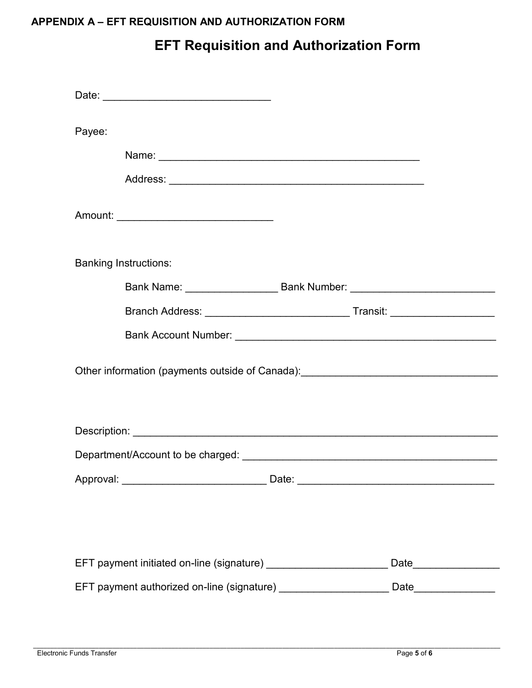### **APPENDIX A – EFT REQUISITION AND AUTHORIZATION FORM**

## **EFT Requisition and Authorization Form**

| Payee: |                                                                                  |                        |
|--------|----------------------------------------------------------------------------------|------------------------|
|        |                                                                                  |                        |
|        |                                                                                  |                        |
|        | Amount: ___________________________________                                      |                        |
|        |                                                                                  |                        |
|        | <b>Banking Instructions:</b>                                                     |                        |
|        | Bank Name: ______________________ Bank Number: _________________________________ |                        |
|        |                                                                                  |                        |
|        |                                                                                  |                        |
|        | Other information (payments outside of Canada): ________________________________ |                        |
|        |                                                                                  |                        |
|        |                                                                                  |                        |
|        |                                                                                  |                        |
|        |                                                                                  |                        |
|        |                                                                                  |                        |
|        | EFT payment initiated on-line (signature) _______________________                | Date__________________ |
|        | EFT payment authorized on-line (signature) ______________________Date___________ |                        |